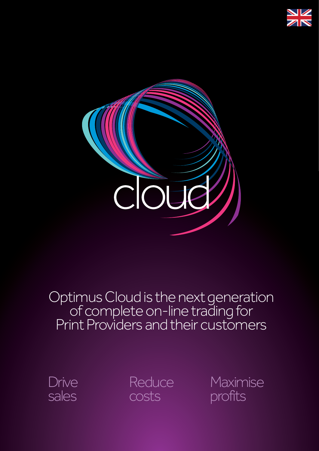



# Optimus Cloud is the next generation<br>of complete on-line trading for Print Providers and their customers



**Reduce** costs

Maximise profits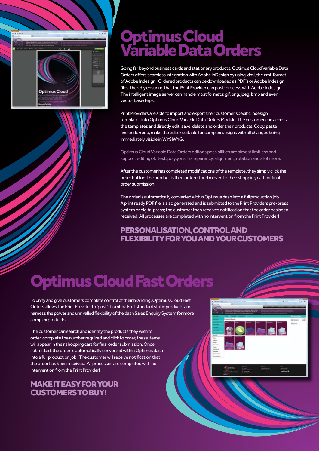

## Optimus Cloud Variable Data Orders

Going far beyond business cards and stationery products, Optimus Cloud Variable Data Orders offers seamless integration with Adobe InDesign by using idml, the xml-format of Adobe Indesign. Ordered products can be downloaded as PDF's or Adobe Indesign files, thereby ensuring that the Print Provider can post-process with Adobe Indesign. The intelligent image server can handle most formats; gif, png, jpeg, bmp and even vector based eps.

Print Providers are able to import and export their customer specific Indesign templates into Optimus Cloud Variable Data Orders Module. The customer can access the templates and directly edit, save, delete and order their products. Copy, paste and undo/redo, make the editor suitable for complex designs with all changes being immediately visible in WYSIWYG.

Optimus Cloud Variable Data Orders editor's possibilities are almost limitless and support editing of: text, polygons, transparency, alignment, rotation and a lot more.

After the customer has completed modifications of the template, they simply click the order button; the product is then ordered and moved to their shopping cart for final order submission.

The order is automatically converted within Optimus dash into a full production job. A print ready PDF file is also generated and is submitted to the Print Providers pre-press system or digital press; the customer then receives notification that the order has been received. All processes are completed with no intervention from the Print Provider!

### PERSONALISATION, CONTROL AND FLEXIBILITY FOR YOU AND YOUR CUSTOMERS

# Optimus Cloud Fast Orders

To unify and give customers complete control of their branding, Optimus Cloud Fast Orders allows the Print Provider to 'post' thumbnails of standard static products and harness the power and unrivalled flexibility of the dash Sales Enquiry System for more complex products.

The customer can search and identify the products they wish to order, complete the number required and click to order, these items will appear in their shopping cart for final order submission. Once submitted, the order is automatically converted within Optimus dash into a full production job. The customer will receive notification that the order has been received. All processes are completed with no intervention from the Print Provider!

### MAKE IT EASY FOR YOUR CUSTOMERS TO BUY!

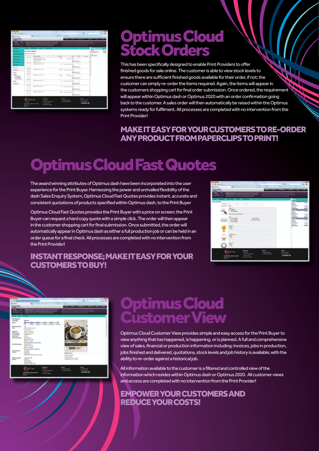

## Optimus Cloud Stock Orders

This has been specifically designed to enable Print Providers to offer finished goods for sale online. The customer is able to view stock levels to ensure there are sufficient finished goods available for their order, if not; the customer can simply re-order the items required. Again, the items will appear in the customers shopping cart for final order submission. Once ordered, the requirement will appear within Optimus dash or Optimus 2020 with an order confirmation going back to the customer. A sales order will then automatically be raised within the Optimus systems ready for fulfilment. All processes are completed with no intervention from the Print Provider!

### MAKE IT EASY FOR YOUR CUSTOMERS TO RE-ORDER ANY PRODUCT FROM PAPERCLIPS TO PRINT!

# Optimus Cloud Fast Quotes

The award winning attributes of Optimus dash have been incorporated into the user experience for the Print Buyer. Harnessing the power and unrivalled flexibility of the dash Sales Enquiry System, Optimus Cloud Fast Quotes provides instant, accurate and consistent quotations of products specified within Optimus dash, to the Print Buyer

Optimus Cloud Fast Quotes provides the Print Buyer with a price on screen; the Print Buyer can request a hard copy quote with a simple click. The order will then appear in the customer shopping cart for final submission. Once submitted, the order will automatically appear in Optimus dash as either a full production job or can be held in an order queue for a final check. All processes are completed with no intervention from the Print Provider!

### INSTANT RESPONSE; MAKE IT EASY FOR YOUR CUSTOMERS TO BUY!

| <b>SERVICE</b><br>The Rocker           | m.<br>and a factor of the co-                                                                                                                                                           |                                 | The State State                                                                                        | ۰<br>×                                           |
|----------------------------------------|-----------------------------------------------------------------------------------------------------------------------------------------------------------------------------------------|---------------------------------|--------------------------------------------------------------------------------------------------------|--------------------------------------------------|
| doud                                   | <b>Spinso Goul Institute for aproximate No. 6. Area</b><br>at de sous PMS. Dan membran a column i messo al qui ser que ser-<br>Anticho de planes de sin el , primeiro anticomente memor |                                 |                                                                                                        |                                                  |
| <b>Top op Bands</b><br>Express 1<br>سد | ٠<br>came Diet<br>$\frac{1}{4 \text{ Npc}}$<br>City is copied<br>last 10-230 distant pre-<br>tell i Thank<br>Am a fhann<br><b><i><u>Address</u></i></b>                                 | ¥<br>x<br>Chestine<br>4 Newtons | <b>The Co</b><br>-<br>Pres.<br>÷<br>E<br>Ë<br><b>Distance Fax</b><br><b>Mount</b><br><b>Text Price</b> | <b>COLOR</b><br>Î<br>법<br>ë<br><b>NS</b><br>14/4 |
| $\frac{1}{m}$                          | ×<br><b>heliotypics</b><br>12.<br>Ξ                                                                                                                                                     |                                 |                                                                                                        |                                                  |
|                                        | <b>Some</b>                                                                                                                                                                             | min<br>$1 - 1 - 1$              |                                                                                                        |                                                  |



## Optimus Cloud Customer View

Optimus Cloud Customer View provides simple and easy access for the Print Buyer to view anything that has happened, is happening, or is planned. A full and comprehensive view of sales, financial or production information including: invoices, jobs in production, jobs finished and delivered, quotations, stock levels and job history is available; with the ability to re-order against a historical job.

All information available to the customer is a filtered and controlled view of the information which resides within Optimus dash or Optimus 2020. All customer views and access are completed with no intervention from the Print Provider!

### EMPOWER YOUR CUSTOMERS AND REDUCE YOUR COSTS!